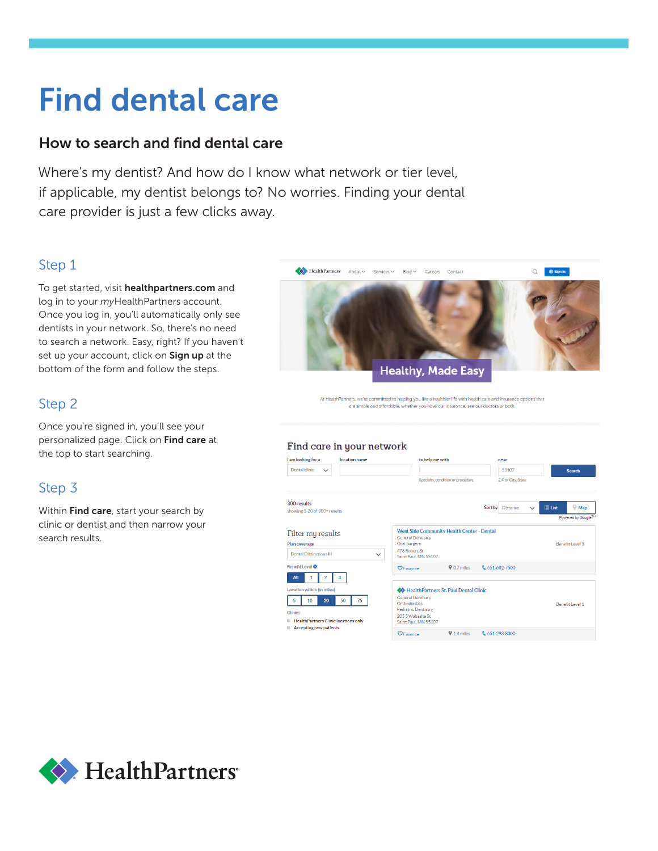# Find dental care

### How to search and find dental care

Where's my dentist? And how do I know what network or tier level, if applicable, my dentist belongs to? No worries. Finding your dental care provider is just a few clicks away.

## Step 1

To get started, visit healthpartners.com and log in to your *my*HealthPartners account. Once you log in, you'll automatically only see dentists in your network. So, there's no need to search a network. Easy, right? If you haven't set up your account, click on Sign up at the bottom of the form and follow the steps.

#### Step 2

Once you're signed in, you'll see your personalized page. Click on Find care at the top to start searching.

## Step 3

Within Find care, start your search by clinic or dentist and then narrow your search results.